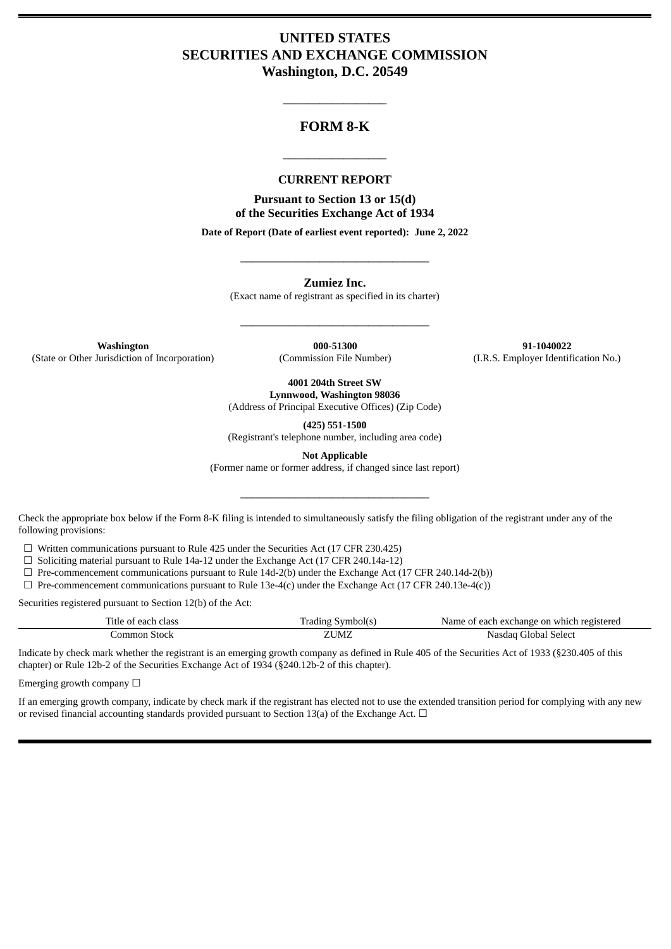# **UNITED STATES SECURITIES AND EXCHANGE COMMISSION Washington, D.C. 20549**

# **FORM 8-K**

\_\_\_\_\_\_\_\_\_\_\_\_\_\_\_\_\_

#### **CURRENT REPORT**

\_\_\_\_\_\_\_\_\_\_\_\_\_\_\_\_\_

**Pursuant to Section 13 or 15(d) of the Securities Exchange Act of 1934**

**Date of Report (Date of earliest event reported): June 2, 2022**

**Zumiez Inc.**

(Exact name of registrant as specified in its charter)

\_\_\_\_\_\_\_\_\_\_\_\_\_\_\_\_\_\_\_\_\_\_\_\_\_\_\_\_\_\_\_

\_\_\_\_\_\_\_\_\_\_\_\_\_\_\_\_\_\_\_\_\_\_\_\_\_\_\_\_\_\_\_

**Washington 000-51300 91-1040022** (State or Other Jurisdiction of Incorporation) (Commission File Number) (I.R.S. Employer Identification No.)

**4001 204th Street SW**

**Lynnwood, Washington 98036** (Address of Principal Executive Offices) (Zip Code)

**(425) 551-1500**

(Registrant's telephone number, including area code)

**Not Applicable**

(Former name or former address, if changed since last report)

\_\_\_\_\_\_\_\_\_\_\_\_\_\_\_\_\_\_\_\_\_\_\_\_\_\_\_\_\_\_\_

Check the appropriate box below if the Form 8-K filing is intended to simultaneously satisfy the filing obligation of the registrant under any of the following provisions:

☐ Written communications pursuant to Rule 425 under the Securities Act (17 CFR 230.425)

 $\Box$  Soliciting material pursuant to Rule 14a-12 under the Exchange Act (17 CFR 240.14a-12)

 $\Box$  Pre-commencement communications pursuant to Rule 14d-2(b) under the Exchange Act (17 CFR 240.14d-2(b))

 $\Box$  Pre-commencement communications pursuant to Rule 13e-4(c) under the Exchange Act (17 CFR 240.13e-4(c))

Securities registered pursuant to Section 12(b) of the Act:

| Title of each class | Trading Symbol(s) | Name of each exchange on which registered |
|---------------------|-------------------|-------------------------------------------|
| Common Stock:       | ZUMZ              | Nasdag Global Select                      |

Indicate by check mark whether the registrant is an emerging growth company as defined in Rule 405 of the Securities Act of 1933 (§230.405 of this chapter) or Rule 12b-2 of the Securities Exchange Act of 1934 (§240.12b-2 of this chapter).

Emerging growth company  $\Box$ 

If an emerging growth company, indicate by check mark if the registrant has elected not to use the extended transition period for complying with any new or revised financial accounting standards provided pursuant to Section 13(a) of the Exchange Act.  $\Box$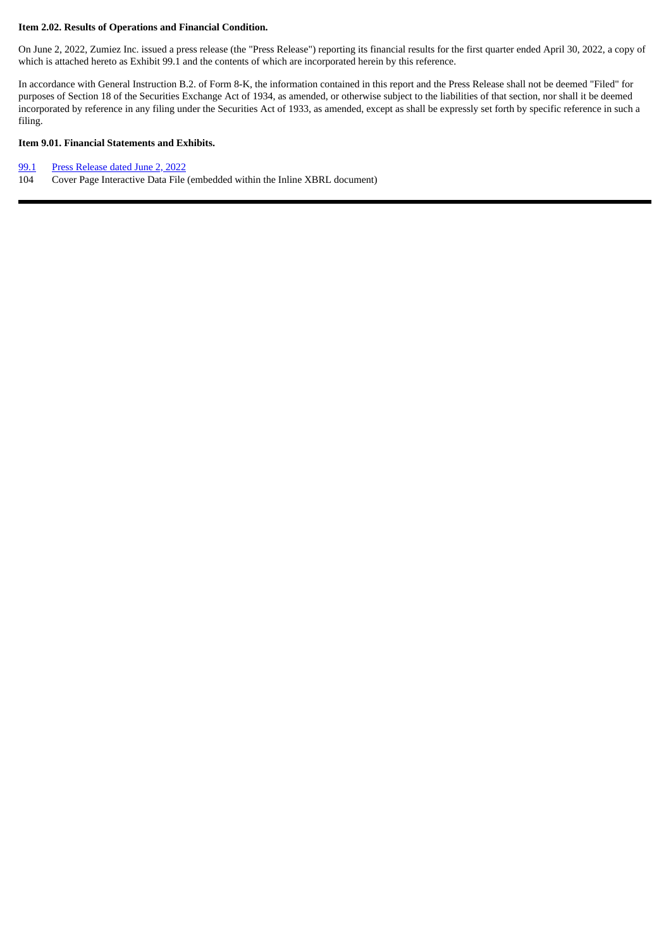#### **Item 2.02. Results of Operations and Financial Condition.**

On June 2, 2022, Zumiez Inc. issued a press release (the "Press Release") reporting its financial results for the first quarter ended April 30, 2022, a copy of which is attached hereto as Exhibit 99.1 and the contents of which are incorporated herein by this reference.

In accordance with General Instruction B.2. of Form 8-K, the information contained in this report and the Press Release shall not be deemed "Filed" for purposes of Section 18 of the Securities Exchange Act of 1934, as amended, or otherwise subject to the liabilities of that section, nor shall it be deemed incorporated by reference in any filing under the Securities Act of 1933, as amended, except as shall be expressly set forth by specific reference in such a filing.

#### **Item 9.01. Financial Statements and Exhibits.**

#### [99.1](#page-3-0) Press [Release](#page-3-0) dated June 2, 2022

104 Cover Page Interactive Data File (embedded within the Inline XBRL document)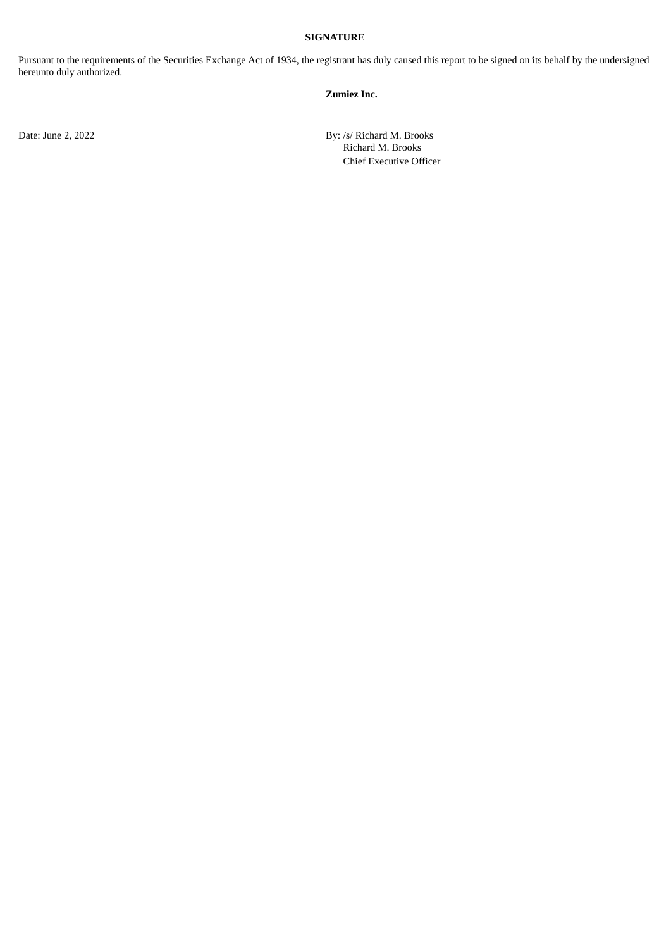#### **SIGNATURE**

Pursuant to the requirements of the Securities Exchange Act of 1934, the registrant has duly caused this report to be signed on its behalf by the undersigned hereunto duly authorized.

#### **Zumiez Inc.**

Date: June 2, 2022 By: /s/ Richard M. Brooks Richard M. Brooks Chief Executive Officer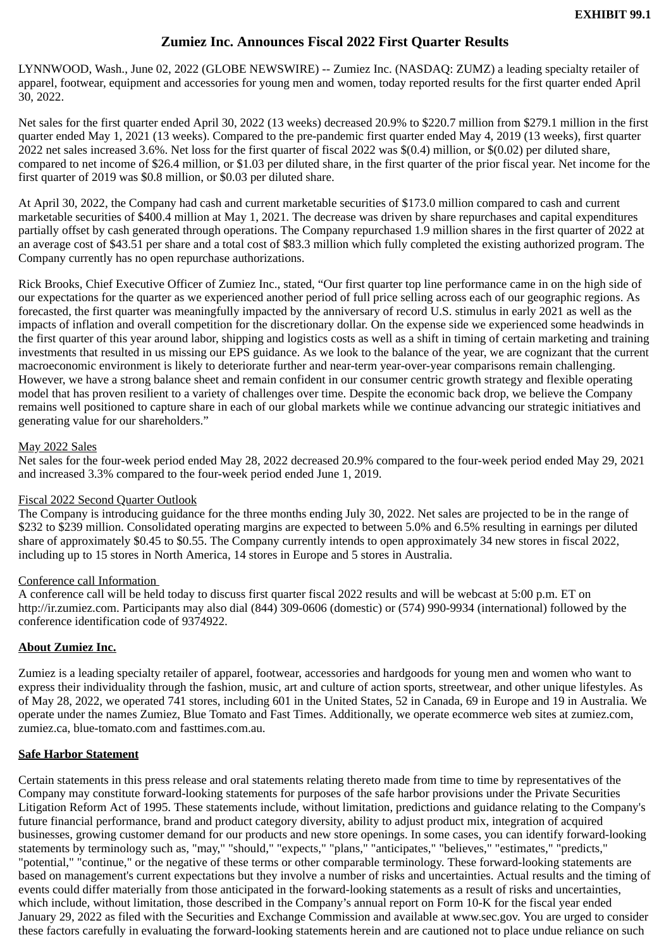# **Zumiez Inc. Announces Fiscal 2022 First Quarter Results**

<span id="page-3-0"></span>LYNNWOOD, Wash., June 02, 2022 (GLOBE NEWSWIRE) -- Zumiez Inc. (NASDAQ: ZUMZ) a leading specialty retailer of apparel, footwear, equipment and accessories for young men and women, today reported results for the first quarter ended April 30, 2022.

Net sales for the first quarter ended April 30, 2022 (13 weeks) decreased 20.9% to \$220.7 million from \$279.1 million in the first quarter ended May 1, 2021 (13 weeks). Compared to the pre-pandemic first quarter ended May 4, 2019 (13 weeks), first quarter 2022 net sales increased 3.6%. Net loss for the first quarter of fiscal 2022 was \$(0.4) million, or \$(0.02) per diluted share, compared to net income of \$26.4 million, or \$1.03 per diluted share, in the first quarter of the prior fiscal year. Net income for the first quarter of 2019 was \$0.8 million, or \$0.03 per diluted share.

At April 30, 2022, the Company had cash and current marketable securities of \$173.0 million compared to cash and current marketable securities of \$400.4 million at May 1, 2021. The decrease was driven by share repurchases and capital expenditures partially offset by cash generated through operations. The Company repurchased 1.9 million shares in the first quarter of 2022 at an average cost of \$43.51 per share and a total cost of \$83.3 million which fully completed the existing authorized program. The Company currently has no open repurchase authorizations.

Rick Brooks, Chief Executive Officer of Zumiez Inc., stated, "Our first quarter top line performance came in on the high side of our expectations for the quarter as we experienced another period of full price selling across each of our geographic regions. As forecasted, the first quarter was meaningfully impacted by the anniversary of record U.S. stimulus in early 2021 as well as the impacts of inflation and overall competition for the discretionary dollar. On the expense side we experienced some headwinds in the first quarter of this year around labor, shipping and logistics costs as well as a shift in timing of certain marketing and training investments that resulted in us missing our EPS guidance. As we look to the balance of the year, we are cognizant that the current macroeconomic environment is likely to deteriorate further and near-term year-over-year comparisons remain challenging. However, we have a strong balance sheet and remain confident in our consumer centric growth strategy and flexible operating model that has proven resilient to a variety of challenges over time. Despite the economic back drop, we believe the Company remains well positioned to capture share in each of our global markets while we continue advancing our strategic initiatives and generating value for our shareholders."

## May 2022 Sales

Net sales for the four-week period ended May 28, 2022 decreased 20.9% compared to the four-week period ended May 29, 2021 and increased 3.3% compared to the four-week period ended June 1, 2019.

## Fiscal 2022 Second Quarter Outlook

The Company is introducing guidance for the three months ending July 30, 2022. Net sales are projected to be in the range of \$232 to \$239 million. Consolidated operating margins are expected to between 5.0% and 6.5% resulting in earnings per diluted share of approximately \$0.45 to \$0.55. The Company currently intends to open approximately 34 new stores in fiscal 2022, including up to 15 stores in North America, 14 stores in Europe and 5 stores in Australia.

## Conference call Information

A conference call will be held today to discuss first quarter fiscal 2022 results and will be webcast at 5:00 p.m. ET on http://ir.zumiez.com. Participants may also dial (844) 309-0606 (domestic) or (574) 990-9934 (international) followed by the conference identification code of 9374922.

## **About Zumiez Inc.**

Zumiez is a leading specialty retailer of apparel, footwear, accessories and hardgoods for young men and women who want to express their individuality through the fashion, music, art and culture of action sports, streetwear, and other unique lifestyles. As of May 28, 2022, we operated 741 stores, including 601 in the United States, 52 in Canada, 69 in Europe and 19 in Australia. We operate under the names Zumiez, Blue Tomato and Fast Times. Additionally, we operate ecommerce web sites at zumiez.com, zumiez.ca, blue-tomato.com and fasttimes.com.au.

## **Safe Harbor Statement**

Certain statements in this press release and oral statements relating thereto made from time to time by representatives of the Company may constitute forward-looking statements for purposes of the safe harbor provisions under the Private Securities Litigation Reform Act of 1995. These statements include, without limitation, predictions and guidance relating to the Company's future financial performance, brand and product category diversity, ability to adjust product mix, integration of acquired businesses, growing customer demand for our products and new store openings. In some cases, you can identify forward-looking statements by terminology such as, "may," "should," "expects," "plans," "anticipates," "believes," "estimates," "predicts," "potential," "continue," or the negative of these terms or other comparable terminology. These forward-looking statements are based on management's current expectations but they involve a number of risks and uncertainties. Actual results and the timing of events could differ materially from those anticipated in the forward-looking statements as a result of risks and uncertainties, which include, without limitation, those described in the Company's annual report on Form 10-K for the fiscal year ended January 29, 2022 as filed with the Securities and Exchange Commission and available at www.sec.gov. You are urged to consider these factors carefully in evaluating the forward-looking statements herein and are cautioned not to place undue reliance on such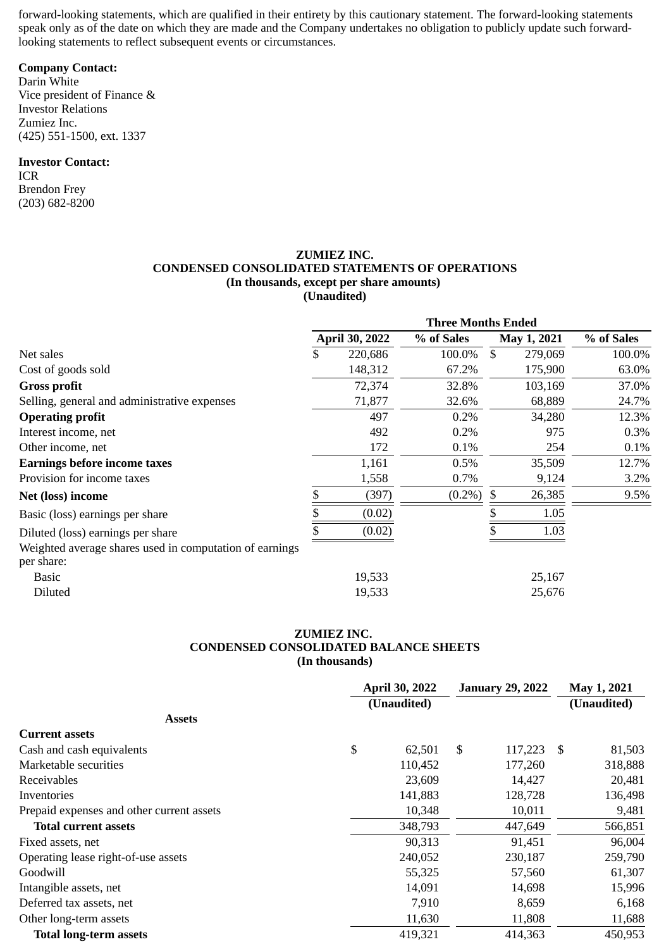forward-looking statements, which are qualified in their entirety by this cautionary statement. The forward-looking statements speak only as of the date on which they are made and the Company undertakes no obligation to publicly update such forwardlooking statements to reflect subsequent events or circumstances.

# **Company Contact:**

Darin White Vice president of Finance & Investor Relations Zumiez Inc. (425) 551-1500, ext. 1337

#### **Investor Contact:**

ICR Brendon Frey (203) 682-8200

#### **ZUMIEZ INC. CONDENSED CONSOLIDATED STATEMENTS OF OPERATIONS (In thousands, except per share amounts) (Unaudited)**

|                                                         | <b>Three Months Ended</b> |                       |              |    |             |            |
|---------------------------------------------------------|---------------------------|-----------------------|--------------|----|-------------|------------|
|                                                         |                           | <b>April 30, 2022</b> | % of Sales   |    | May 1, 2021 | % of Sales |
| Net sales                                               | \$                        | 220,686               | 100.0%       | \$ | 279,069     | 100.0%     |
| Cost of goods sold                                      |                           | 148,312               | 67.2%        |    | 175,900     | 63.0%      |
| <b>Gross profit</b>                                     |                           | 72,374                | 32.8%        |    | 103,169     | 37.0%      |
| Selling, general and administrative expenses            |                           | 71,877                | 32.6%        |    | 68,889      | 24.7%      |
| <b>Operating profit</b>                                 |                           | 497                   | 0.2%         |    | 34,280      | 12.3%      |
| Interest income, net                                    |                           | 492                   | 0.2%         |    | 975         | $0.3\%$    |
| Other income, net                                       |                           | 172                   | 0.1%         |    | 254         | $0.1\%$    |
| <b>Earnings before income taxes</b>                     |                           | 1,161                 | 0.5%         |    | 35,509      | 12.7%      |
| Provision for income taxes                              |                           | 1,558                 | 0.7%         |    | 9,124       | 3.2%       |
| Net (loss) income                                       | \$                        | (397)                 | $(0.2\%)$ \$ |    | 26,385      | 9.5%       |
| Basic (loss) earnings per share                         |                           | (0.02)                |              |    | 1.05        |            |
| Diluted (loss) earnings per share                       |                           | (0.02)                |              |    | 1.03        |            |
| Weighted average shares used in computation of earnings |                           |                       |              |    |             |            |
| per share:                                              |                           |                       |              |    |             |            |
| Basic                                                   |                           | 19,533                |              |    | 25,167      |            |
| Diluted                                                 |                           | 19,533                |              |    | 25,676      |            |

## **ZUMIEZ INC. CONDENSED CONSOLIDATED BALANCE SHEETS (In thousands)**

|                                           | <b>April 30, 2022</b> |             | <b>January 29, 2022</b> |         |    | May 1, 2021 |  |
|-------------------------------------------|-----------------------|-------------|-------------------------|---------|----|-------------|--|
|                                           |                       | (Unaudited) |                         |         |    | (Unaudited) |  |
| <b>Assets</b>                             |                       |             |                         |         |    |             |  |
| <b>Current assets</b>                     |                       |             |                         |         |    |             |  |
| Cash and cash equivalents                 | \$                    | 62,501      | \$                      | 117,223 | -S | 81,503      |  |
| Marketable securities                     |                       | 110,452     |                         | 177,260 |    | 318,888     |  |
| Receivables                               |                       | 23,609      |                         | 14,427  |    | 20,481      |  |
| Inventories                               |                       | 141,883     |                         | 128,728 |    | 136,498     |  |
| Prepaid expenses and other current assets |                       | 10,348      |                         | 10,011  |    | 9,481       |  |
| <b>Total current assets</b>               |                       | 348,793     |                         | 447,649 |    | 566,851     |  |
| Fixed assets, net                         |                       | 90,313      |                         | 91,451  |    | 96,004      |  |
| Operating lease right-of-use assets       |                       | 240,052     |                         | 230,187 |    | 259,790     |  |
| Goodwill                                  |                       | 55,325      |                         | 57,560  |    | 61,307      |  |
| Intangible assets, net                    |                       | 14,091      |                         | 14,698  |    | 15,996      |  |
| Deferred tax assets, net                  |                       | 7,910       |                         | 8,659   |    | 6,168       |  |
| Other long-term assets                    |                       | 11,630      |                         | 11,808  |    | 11,688      |  |
| <b>Total long-term assets</b>             |                       | 419,321     |                         | 414,363 |    | 450,953     |  |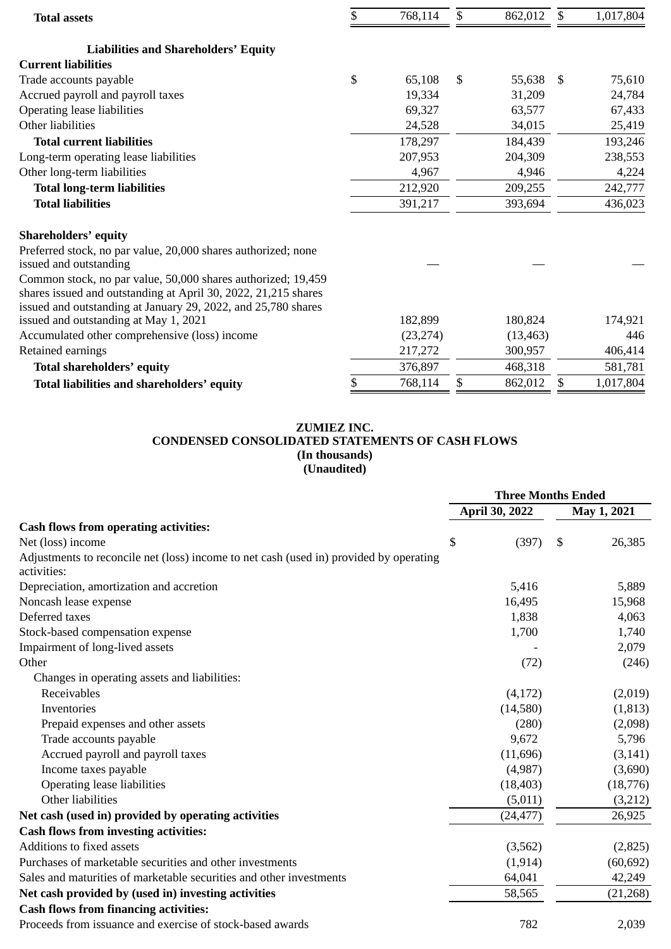| <b>Total assets</b>                                                                                                                                                                             | 768,114      | \$<br>862,012 | $\mathfrak{S}$ | 1,017,804 |
|-------------------------------------------------------------------------------------------------------------------------------------------------------------------------------------------------|--------------|---------------|----------------|-----------|
| <b>Liabilities and Shareholders' Equity</b>                                                                                                                                                     |              |               |                |           |
| <b>Current liabilities</b>                                                                                                                                                                      |              |               |                |           |
| Trade accounts payable                                                                                                                                                                          | \$<br>65,108 | \$<br>55,638  | - \$           | 75,610    |
| Accrued payroll and payroll taxes                                                                                                                                                               | 19,334       | 31,209        |                | 24,784    |
| <b>Operating lease liabilities</b>                                                                                                                                                              | 69,327       | 63,577        |                | 67,433    |
| Other liabilities                                                                                                                                                                               | 24,528       | 34,015        |                | 25,419    |
| <b>Total current liabilities</b>                                                                                                                                                                | 178,297      | 184,439       |                | 193,246   |
| Long-term operating lease liabilities                                                                                                                                                           | 207,953      | 204,309       |                | 238,553   |
| Other long-term liabilities                                                                                                                                                                     | 4,967        | 4,946         |                | 4,224     |
| <b>Total long-term liabilities</b>                                                                                                                                                              | 212,920      | 209,255       |                | 242,777   |
| <b>Total liabilities</b>                                                                                                                                                                        | 391,217      | 393,694       |                | 436,023   |
| <b>Shareholders' equity</b>                                                                                                                                                                     |              |               |                |           |
| Preferred stock, no par value, 20,000 shares authorized; none<br>issued and outstanding                                                                                                         |              |               |                |           |
| Common stock, no par value, 50,000 shares authorized; 19,459<br>shares issued and outstanding at April 30, 2022, 21,215 shares<br>issued and outstanding at January 29, 2022, and 25,780 shares |              |               |                |           |
| issued and outstanding at May 1, 2021                                                                                                                                                           | 182,899      | 180,824       |                | 174,921   |
| Accumulated other comprehensive (loss) income                                                                                                                                                   | (23, 274)    | (13, 463)     |                | 446       |
| Retained earnings                                                                                                                                                                               | 217,272      | 300,957       |                | 406,414   |
| Total shareholders' equity                                                                                                                                                                      | 376,897      | 468,318       |                | 581,781   |
| Total liabilities and shareholders' equity                                                                                                                                                      | 768,114      | \$<br>862,012 | \$             | 1,017,804 |
|                                                                                                                                                                                                 |              |               |                |           |

# **ZUMIEZ INC. CONDENSED CONSOLIDATED STATEMENTS OF CASH FLOWS (In thousands) (Unaudited)**

|                                                                                                       | <b>Three Months Ended</b> |                |    |             |  |
|-------------------------------------------------------------------------------------------------------|---------------------------|----------------|----|-------------|--|
|                                                                                                       |                           | April 30, 2022 |    | May 1, 2021 |  |
| <b>Cash flows from operating activities:</b>                                                          |                           |                |    |             |  |
| Net (loss) income                                                                                     | \$                        | (397)          | \$ | 26,385      |  |
| Adjustments to reconcile net (loss) income to net cash (used in) provided by operating<br>activities: |                           |                |    |             |  |
| Depreciation, amortization and accretion                                                              |                           | 5,416          |    | 5,889       |  |
| Noncash lease expense                                                                                 |                           | 16,495         |    | 15,968      |  |
| Deferred taxes                                                                                        |                           | 1,838          |    | 4,063       |  |
| Stock-based compensation expense                                                                      |                           | 1,700          |    | 1,740       |  |
| Impairment of long-lived assets                                                                       |                           |                |    | 2,079       |  |
| Other                                                                                                 |                           | (72)           |    | (246)       |  |
| Changes in operating assets and liabilities:                                                          |                           |                |    |             |  |
| Receivables                                                                                           |                           | (4,172)        |    | (2,019)     |  |
| Inventories                                                                                           |                           | (14,580)       |    | (1, 813)    |  |
| Prepaid expenses and other assets                                                                     |                           | (280)          |    | (2,098)     |  |
| Trade accounts payable                                                                                |                           | 9,672          |    | 5,796       |  |
| Accrued payroll and payroll taxes                                                                     |                           | (11,696)       |    | (3, 141)    |  |
| Income taxes payable                                                                                  |                           | (4,987)        |    | (3,690)     |  |
| <b>Operating lease liabilities</b>                                                                    |                           | (18, 403)      |    | (18,776)    |  |
| Other liabilities                                                                                     |                           | (5,011)        |    | (3,212)     |  |
| Net cash (used in) provided by operating activities                                                   |                           | (24, 477)      |    | 26,925      |  |
| <b>Cash flows from investing activities:</b>                                                          |                           |                |    |             |  |
| Additions to fixed assets                                                                             |                           | (3,562)        |    | (2,825)     |  |
| Purchases of marketable securities and other investments                                              |                           | (1, 914)       |    | (60, 692)   |  |
| Sales and maturities of marketable securities and other investments                                   |                           | 64,041         |    | 42,249      |  |
| Net cash provided by (used in) investing activities                                                   |                           | 58,565         |    | (21, 268)   |  |
| <b>Cash flows from financing activities:</b>                                                          |                           |                |    |             |  |
| Proceeds from issuance and exercise of stock-based awards                                             |                           | 782            |    | 2,039       |  |